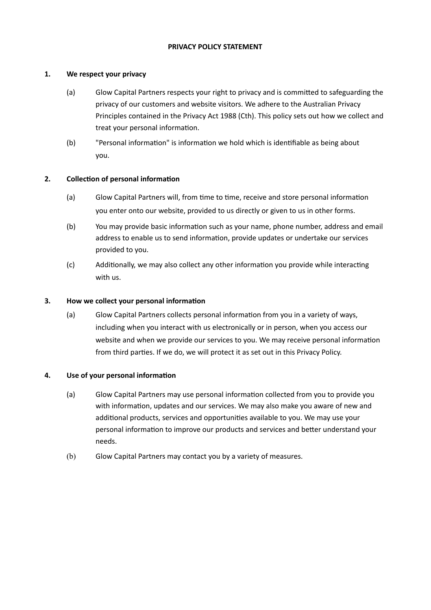# **PRIVACY POLICY STATEMENT**

# **1. We respect your privacy**

- (a) Glow Capital Partners respects your right to privacy and is committed to safeguarding the privacy of our customers and website visitors. We adhere to the Australian Privacy Principles contained in the Privacy Act 1988 (Cth). This policy sets out how we collect and treat your personal information.
- (b) "Personal information" is information we hold which is identifiable as being about you.

# **2. Collection of personal information**

- (a) Glow Capital Partners will, from time to time, receive and store personal information you enter onto our website, provided to us directly or given to us in other forms.
- (b) You may provide basic information such as your name, phone number, address and email address to enable us to send information, provide updates or undertake our services provided to you.
- (c) Additionally, we may also collect any other information you provide while interacting with us.

# **3. How we collect your personal information**

(a) Glow Capital Partners collects personal information from you in a variety of ways, including when you interact with us electronically or in person, when you access our website and when we provide our services to you. We may receive personal information from third parties. If we do, we will protect it as set out in this Privacy Policy.

#### **4. Use of your personal information**

- (a) Glow Capital Partners may use personal information collected from you to provide you with information, updates and our services. We may also make you aware of new and additional products, services and opportunities available to you. We may use your personal information to improve our products and services and better understand your needs.
- (b) Glow Capital Partners may contact you by a variety of measures.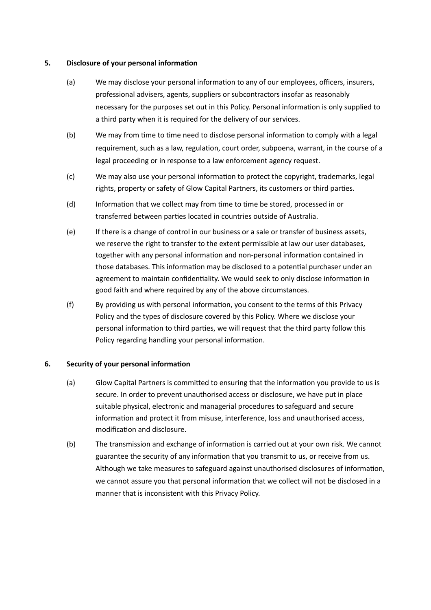## **5. Disclosure of your personal information**

- (a) We may disclose your personal information to any of our employees, officers, insurers, professional advisers, agents, suppliers or subcontractors insofar as reasonably necessary for the purposes set out in this Policy. Personal information is only supplied to a third party when it is required for the delivery of our services.
- (b) We may from time to time need to disclose personal information to comply with a legal requirement, such as a law, regulation, court order, subpoena, warrant, in the course of a legal proceeding or in response to a law enforcement agency request.
- (c) We may also use your personal information to protect the copyright, trademarks, legal rights, property or safety of Glow Capital Partners, its customers or third parties.
- (d) Information that we collect may from time to time be stored, processed in or transferred between parties located in countries outside of Australia.
- (e) If there is a change of control in our business or a sale or transfer of business assets, we reserve the right to transfer to the extent permissible at law our user databases, together with any personal information and non-personal information contained in those databases. This information may be disclosed to a potential purchaser under an agreement to maintain confidentiality. We would seek to only disclose information in good faith and where required by any of the above circumstances.
- (f) By providing us with personal information, you consent to the terms of this Privacy Policy and the types of disclosure covered by this Policy. Where we disclose your personal information to third parties, we will request that the third party follow this Policy regarding handling your personal information.

# **6. Security of your personal information**

- (a) Glow Capital Partners is committed to ensuring that the information you provide to us is secure. In order to prevent unauthorised access or disclosure, we have put in place suitable physical, electronic and managerial procedures to safeguard and secure information and protect it from misuse, interference, loss and unauthorised access, modification and disclosure.
- (b) The transmission and exchange of information is carried out at your own risk. We cannot guarantee the security of any information that you transmit to us, or receive from us. Although we take measures to safeguard against unauthorised disclosures of information, we cannot assure you that personal information that we collect will not be disclosed in a manner that is inconsistent with this Privacy Policy.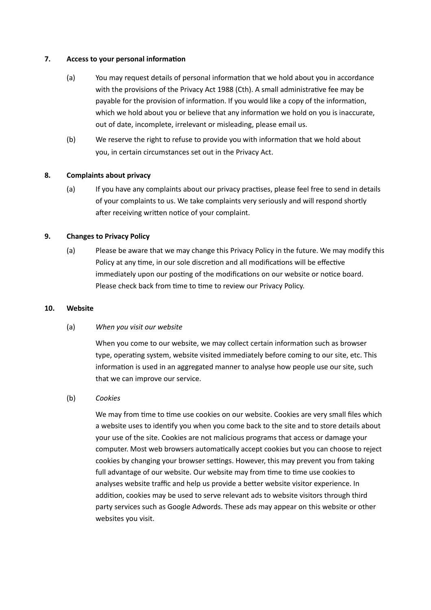#### **7. Access to your personal information**

- (a) You may request details of personal information that we hold about you in accordance with the provisions of the Privacy Act 1988 (Cth). A small administrative fee may be payable for the provision of information. If you would like a copy of the information, which we hold about you or believe that any information we hold on you is inaccurate, out of date, incomplete, irrelevant or misleading, please email us.
- (b) We reserve the right to refuse to provide you with information that we hold about you, in certain circumstances set out in the Privacy Act.

#### **8. Complaints about privacy**

(a) If you have any complaints about our privacy practises, please feel free to send in details of your complaints to us. We take complaints very seriously and will respond shortly after receiving written notice of your complaint.

# **9. Changes to Privacy Policy**

(a) Please be aware that we may change this Privacy Policy in the future. We may modify this Policy at any time, in our sole discretion and all modifications will be effective immediately upon our posting of the modifications on our website or notice board. Please check back from time to time to review our Privacy Policy.

#### **10. Website**

#### (a) *When you visit our website*

When you come to our website, we may collect certain information such as browser type, operating system, website visited immediately before coming to our site, etc. This information is used in an aggregated manner to analyse how people use our site, such that we can improve our service.

#### (b) *Cookies*

We may from time to time use cookies on our website. Cookies are very small files which a website uses to identify you when you come back to the site and to store details about your use of the site. Cookies are not malicious programs that access or damage your computer. Most web browsers automatically accept cookies but you can choose to reject cookies by changing your browser settings. However, this may prevent you from taking full advantage of our website. Our website may from time to time use cookies to analyses website traffic and help us provide a better website visitor experience. In addition, cookies may be used to serve relevant ads to website visitors through third party services such as Google Adwords. These ads may appear on this website or other websites you visit.